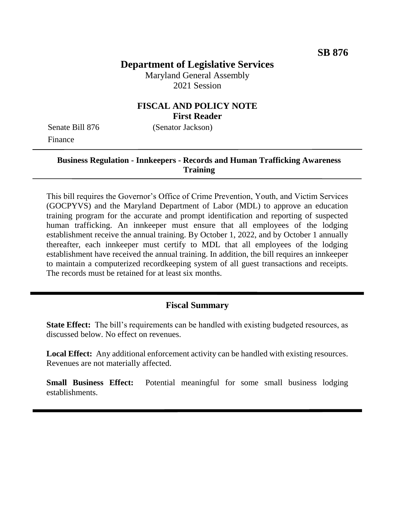# **Department of Legislative Services**

Maryland General Assembly 2021 Session

#### **FISCAL AND POLICY NOTE First Reader**

Senate Bill 876 (Senator Jackson) Finance

#### **Business Regulation - Innkeepers - Records and Human Trafficking Awareness Training**

This bill requires the Governor's Office of Crime Prevention, Youth, and Victim Services (GOCPYVS) and the Maryland Department of Labor (MDL) to approve an education training program for the accurate and prompt identification and reporting of suspected human trafficking. An innkeeper must ensure that all employees of the lodging establishment receive the annual training. By October 1, 2022, and by October 1 annually thereafter, each innkeeper must certify to MDL that all employees of the lodging establishment have received the annual training. In addition, the bill requires an innkeeper to maintain a computerized recordkeeping system of all guest transactions and receipts. The records must be retained for at least six months.

#### **Fiscal Summary**

**State Effect:** The bill's requirements can be handled with existing budgeted resources, as discussed below. No effect on revenues.

Local Effect: Any additional enforcement activity can be handled with existing resources. Revenues are not materially affected.

**Small Business Effect:** Potential meaningful for some small business lodging establishments.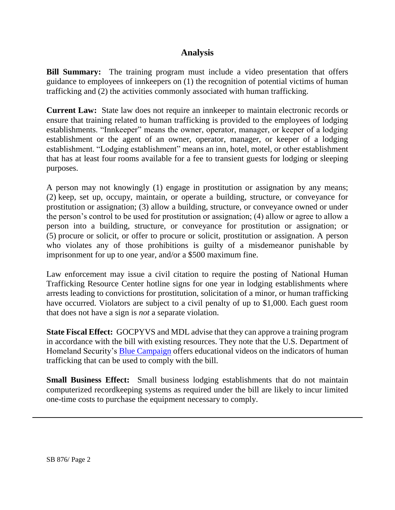### **Analysis**

**Bill Summary:** The training program must include a video presentation that offers guidance to employees of innkeepers on (1) the recognition of potential victims of human trafficking and (2) the activities commonly associated with human trafficking.

**Current Law:** State law does not require an innkeeper to maintain electronic records or ensure that training related to human trafficking is provided to the employees of lodging establishments. "Innkeeper" means the owner, operator, manager, or keeper of a lodging establishment or the agent of an owner, operator, manager, or keeper of a lodging establishment. "Lodging establishment" means an inn, hotel, motel, or other establishment that has at least four rooms available for a fee to transient guests for lodging or sleeping purposes.

A person may not knowingly (1) engage in prostitution or assignation by any means; (2) keep, set up, occupy, maintain, or operate a building, structure, or conveyance for prostitution or assignation; (3) allow a building, structure, or conveyance owned or under the person's control to be used for prostitution or assignation; (4) allow or agree to allow a person into a building, structure, or conveyance for prostitution or assignation; or (5) procure or solicit, or offer to procure or solicit, prostitution or assignation. A person who violates any of those prohibitions is guilty of a misdemeanor punishable by imprisonment for up to one year, and/or a \$500 maximum fine.

Law enforcement may issue a civil citation to require the posting of National Human Trafficking Resource Center hotline signs for one year in lodging establishments where arrests leading to convictions for prostitution, solicitation of a minor, or human trafficking have occurred. Violators are subject to a civil penalty of up to \$1,000. Each guest room that does not have a sign is *not* a separate violation.

**State Fiscal Effect:** GOCPYVS and MDL advise that they can approve a training program in accordance with the bill with existing resources. They note that the U.S. Department of Homeland Security's **Blue Campaign** offers educational videos on the indicators of human trafficking that can be used to comply with the bill.

**Small Business Effect:** Small business lodging establishments that do not maintain computerized recordkeeping systems as required under the bill are likely to incur limited one-time costs to purchase the equipment necessary to comply.